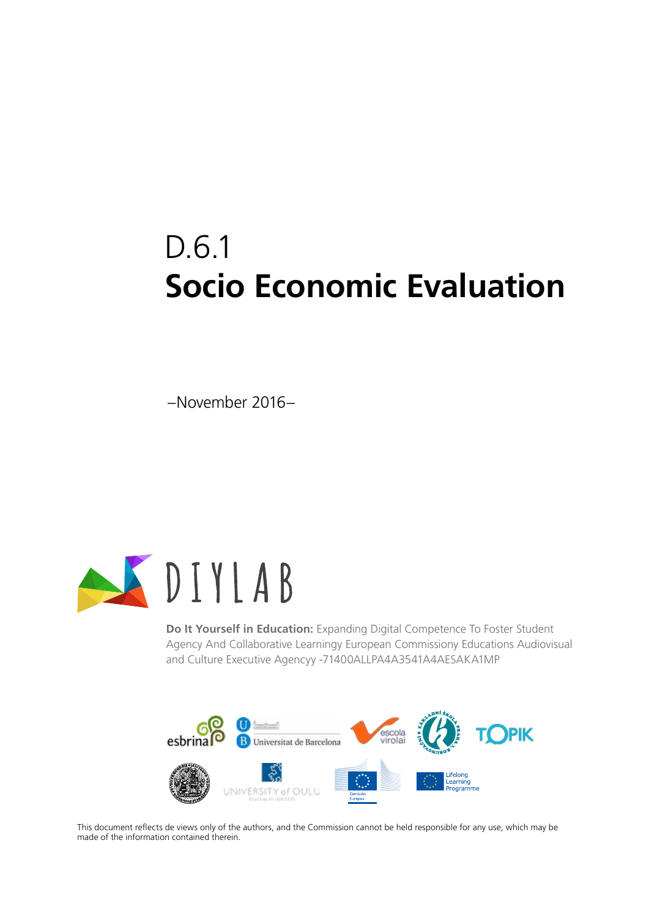# D.6.1 **Socio Economic Evaluation**

–November 2016–



**Do It Yourself in Education:** Expanding Digital Competence To Foster Student Agency And Collaborative Learningy European Commissiony Educations Audiovisual and Culture Executive Agencyy -71400ALLPA4A3541A4AESAKA1MP



This document reflects de views only of the authors, and the Commission cannot be held responsible for any use, which may be made of the information contained therein.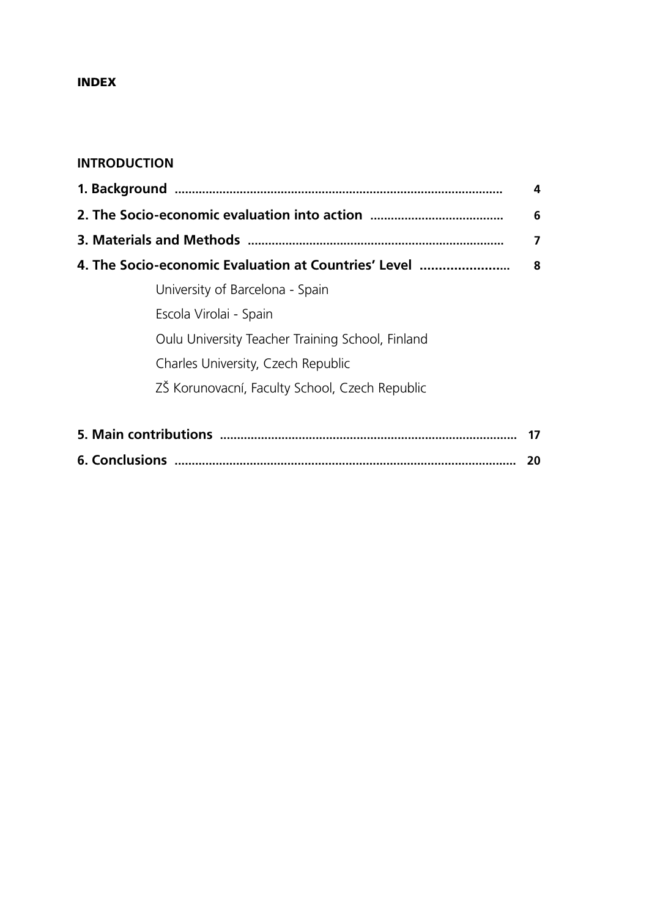### Index

# **INTRODUCTION**

|                                                      | 4  |
|------------------------------------------------------|----|
|                                                      | 6  |
|                                                      | 7  |
| 4. The Socio-economic Evaluation at Countries' Level | 8  |
| University of Barcelona - Spain                      |    |
| Escola Virolai - Spain                               |    |
| Oulu University Teacher Training School, Finland     |    |
| Charles University, Czech Republic                   |    |
| ZŠ Korunovacní, Faculty School, Czech Republic       |    |
|                                                      |    |
|                                                      | 17 |

**6. Conclusions .................................................................................................... 20**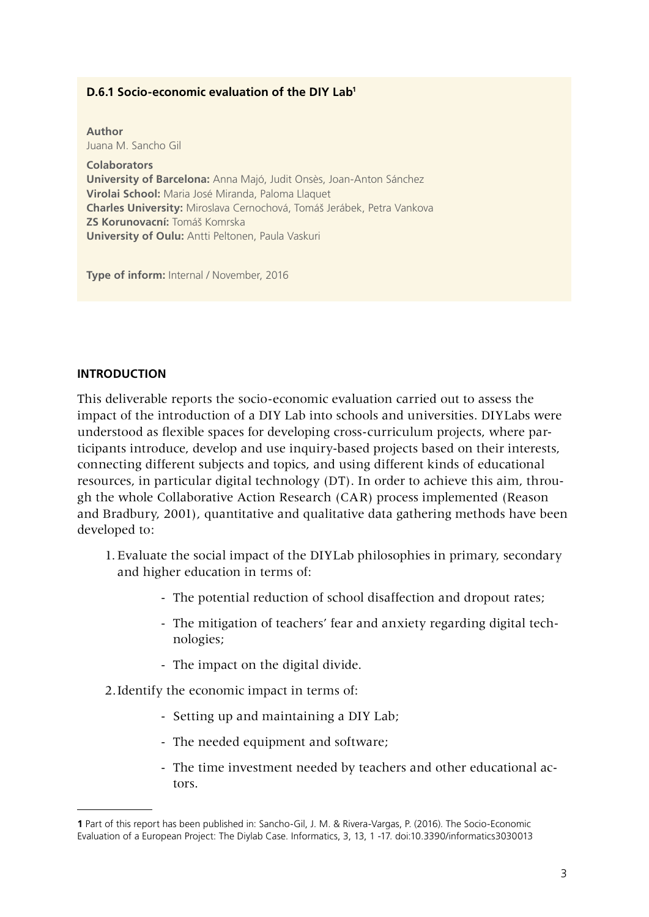### **D.6.1 Socio-economic evaluation of the DIY Lab1**

**Author** Juana M. Sancho Gil

**Colaborators University of Barcelona:** Anna Majó, Judit Onsès, Joan-Anton Sánchez **Virolai School:** Maria José Miranda, Paloma Llaquet **Charles University:** Miroslava Cernochová, Tomáš Jerábek, Petra Vankova **ZS Korunovacní:** Tomáš Komrska **University of Oulu:** Antti Peltonen, Paula Vaskuri

**Type of inform:** Internal / November, 2016

#### **Introduction**

This deliverable reports the socio-economic evaluation carried out to assess the impact of the introduction of a DIY Lab into schools and universities. DIYLabs were understood as flexible spaces for developing cross-curriculum projects, where participants introduce, develop and use inquiry-based projects based on their interests, connecting different subjects and topics, and using different kinds of educational resources, in particular digital technology (DT). In order to achieve this aim, through the whole Collaborative Action Research (CAR) process implemented (Reason and Bradbury, 2001), quantitative and qualitative data gathering methods have been developed to:

- 1. Evaluate the social impact of the DIYLab philosophies in primary, secondary and higher education in terms of:
	- The potential reduction of school disaffection and dropout rates;
	- The mitigation of teachers' fear and anxiety regarding digital technologies;
	- The impact on the digital divide.
- 2.Identify the economic impact in terms of:
	- Setting up and maintaining a DIY Lab;
	- The needed equipment and software;
	- The time investment needed by teachers and other educational actors.

**<sup>1</sup>** Part of this report has been published in: Sancho-Gil, J. M. & Rivera-Vargas, P. (2016). The Socio-Economic Evaluation of a European Project: The Diylab Case. Informatics, 3, 13, 1 -17. doi:10.3390/informatics3030013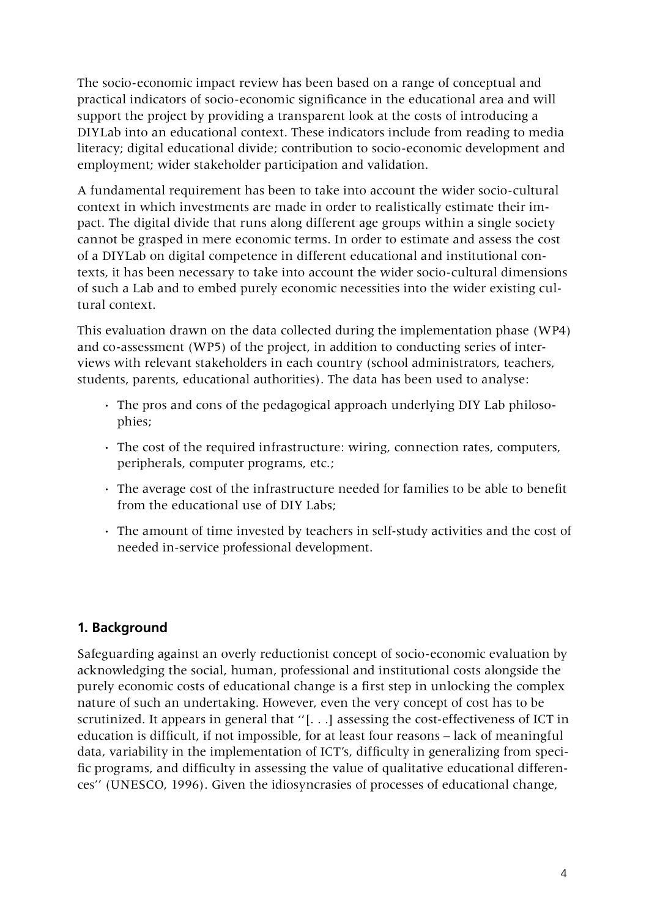The socio-economic impact review has been based on a range of conceptual and practical indicators of socio-economic significance in the educational area and will support the project by providing a transparent look at the costs of introducing a DIYLab into an educational context. These indicators include from reading to media literacy; digital educational divide; contribution to socio-economic development and employment; wider stakeholder participation and validation.

A fundamental requirement has been to take into account the wider socio-cultural context in which investments are made in order to realistically estimate their impact. The digital divide that runs along different age groups within a single society cannot be grasped in mere economic terms. In order to estimate and assess the cost of a DIYLab on digital competence in different educational and institutional contexts, it has been necessary to take into account the wider socio-cultural dimensions of such a Lab and to embed purely economic necessities into the wider existing cultural context.

This evaluation drawn on the data collected during the implementation phase (WP4) and co-assessment (WP5) of the project, in addition to conducting series of interviews with relevant stakeholders in each country (school administrators, teachers, students, parents, educational authorities). The data has been used to analyse:

- **·** The pros and cons of the pedagogical approach underlying DIY Lab philosophies;
- **·** The cost of the required infrastructure: wiring, connection rates, computers, peripherals, computer programs, etc.;
- **·** The average cost of the infrastructure needed for families to be able to benefit from the educational use of DIY Labs;
- **·** The amount of time invested by teachers in self-study activities and the cost of needed in-service professional development.

# **1. Background**

Safeguarding against an overly reductionist concept of socio-economic evaluation by acknowledging the social, human, professional and institutional costs alongside the purely economic costs of educational change is a first step in unlocking the complex nature of such an undertaking. However, even the very concept of cost has to be scrutinized. It appears in general that ''[. . .] assessing the cost-effectiveness of ICT in education is difficult, if not impossible, for at least four reasons – lack of meaningful data, variability in the implementation of ICT's, difficulty in generalizing from specific programs, and difficulty in assessing the value of qualitative educational differences'' (UNESCO, 1996). Given the idiosyncrasies of processes of educational change,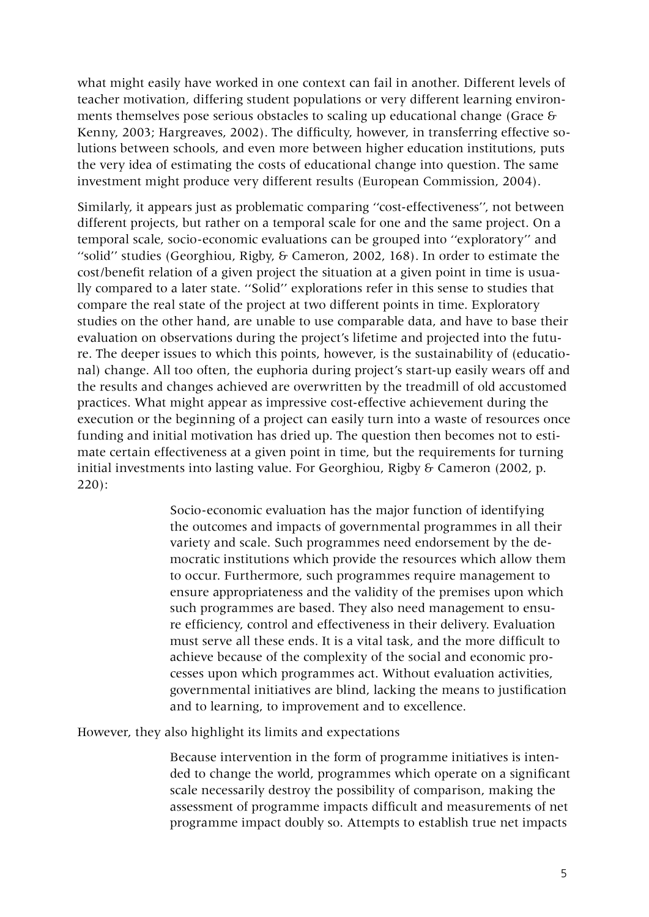what might easily have worked in one context can fail in another. Different levels of teacher motivation, differing student populations or very different learning environments themselves pose serious obstacles to scaling up educational change (Grace & Kenny, 2003; Hargreaves, 2002). The difficulty, however, in transferring effective solutions between schools, and even more between higher education institutions, puts the very idea of estimating the costs of educational change into question. The same investment might produce very different results (European Commission, 2004).

Similarly, it appears just as problematic comparing ''cost-effectiveness'', not between different projects, but rather on a temporal scale for one and the same project. On a temporal scale, socio-economic evaluations can be grouped into ''exploratory'' and ''solid'' studies (Georghiou, Rigby, & Cameron, 2002, 168). In order to estimate the cost/benefit relation of a given project the situation at a given point in time is usually compared to a later state. ''Solid'' explorations refer in this sense to studies that compare the real state of the project at two different points in time. Exploratory studies on the other hand, are unable to use comparable data, and have to base their evaluation on observations during the project's lifetime and projected into the future. The deeper issues to which this points, however, is the sustainability of (educational) change. All too often, the euphoria during project's start-up easily wears off and the results and changes achieved are overwritten by the treadmill of old accustomed practices. What might appear as impressive cost-effective achievement during the execution or the beginning of a project can easily turn into a waste of resources once funding and initial motivation has dried up. The question then becomes not to estimate certain effectiveness at a given point in time, but the requirements for turning initial investments into lasting value. For Georghiou, Rigby & Cameron (2002, p. 220):

> Socio-economic evaluation has the major function of identifying the outcomes and impacts of governmental programmes in all their variety and scale. Such programmes need endorsement by the democratic institutions which provide the resources which allow them to occur. Furthermore, such programmes require management to ensure appropriateness and the validity of the premises upon which such programmes are based. They also need management to ensure efficiency, control and effectiveness in their delivery. Evaluation must serve all these ends. It is a vital task, and the more difficult to achieve because of the complexity of the social and economic processes upon which programmes act. Without evaluation activities, governmental initiatives are blind, lacking the means to justification and to learning, to improvement and to excellence.

However, they also highlight its limits and expectations

Because intervention in the form of programme initiatives is intended to change the world, programmes which operate on a significant scale necessarily destroy the possibility of comparison, making the assessment of programme impacts difficult and measurements of net programme impact doubly so. Attempts to establish true net impacts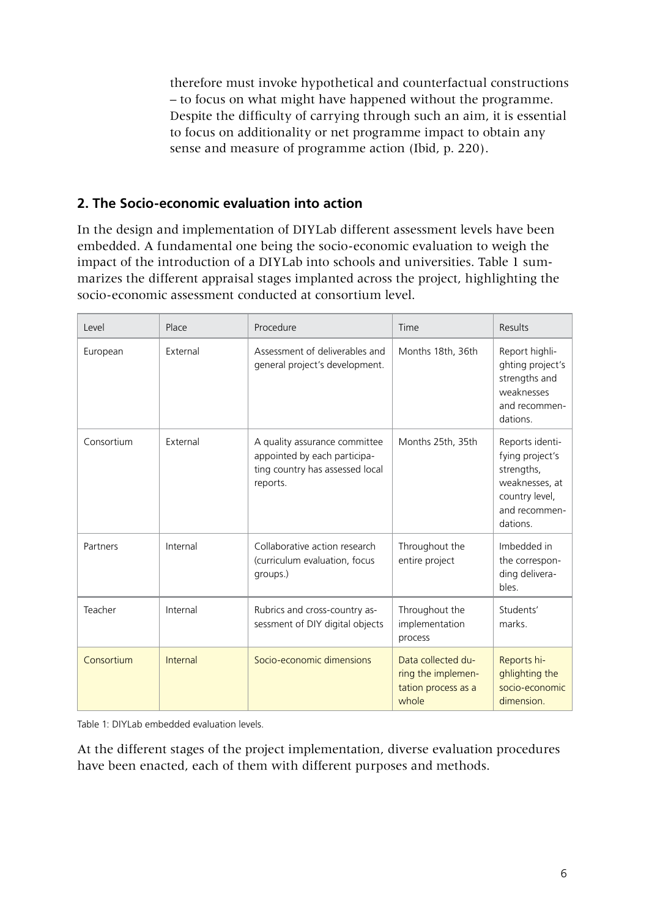therefore must invoke hypothetical and counterfactual constructions – to focus on what might have happened without the programme. Despite the difficulty of carrying through such an aim, it is essential to focus on additionality or net programme impact to obtain any sense and measure of programme action (Ibid, p. 220).

# **2. The Socio-economic evaluation into action**

In the design and implementation of DIYLab different assessment levels have been embedded. A fundamental one being the socio-economic evaluation to weigh the impact of the introduction of a DIYLab into schools and universities. Table 1 summarizes the different appraisal stages implanted across the project, highlighting the socio-economic assessment conducted at consortium level.

| Level      | Place    | Procedure                                                                                                    | Time                                                                     | Results                                                                                                           |
|------------|----------|--------------------------------------------------------------------------------------------------------------|--------------------------------------------------------------------------|-------------------------------------------------------------------------------------------------------------------|
| European   | External | Assessment of deliverables and<br>general project's development.                                             | Months 18th, 36th                                                        | Report highli-<br>ghting project's<br>strengths and<br>weaknesses<br>and recommen-<br>dations.                    |
| Consortium | External | A quality assurance committee<br>appointed by each participa-<br>ting country has assessed local<br>reports. | Months 25th, 35th                                                        | Reports identi-<br>fying project's<br>strengths,<br>weaknesses, at<br>country level,<br>and recommen-<br>dations. |
| Partners   | Internal | Collaborative action research<br>(curriculum evaluation, focus<br>groups.)                                   | Throughout the<br>entire project                                         | Imbedded in<br>the correspon-<br>ding delivera-<br>bles.                                                          |
| Teacher    | Internal | Rubrics and cross-country as-<br>sessment of DIY digital objects                                             | Throughout the<br>implementation<br>process                              | Students'<br>marks.                                                                                               |
| Consortium | Internal | Socio-economic dimensions                                                                                    | Data collected du-<br>ring the implemen-<br>tation process as a<br>whole | Reports hi-<br>ghlighting the<br>socio-economic<br>dimension.                                                     |

Table 1: DIYLab embedded evaluation levels.

At the different stages of the project implementation, diverse evaluation procedures have been enacted, each of them with different purposes and methods.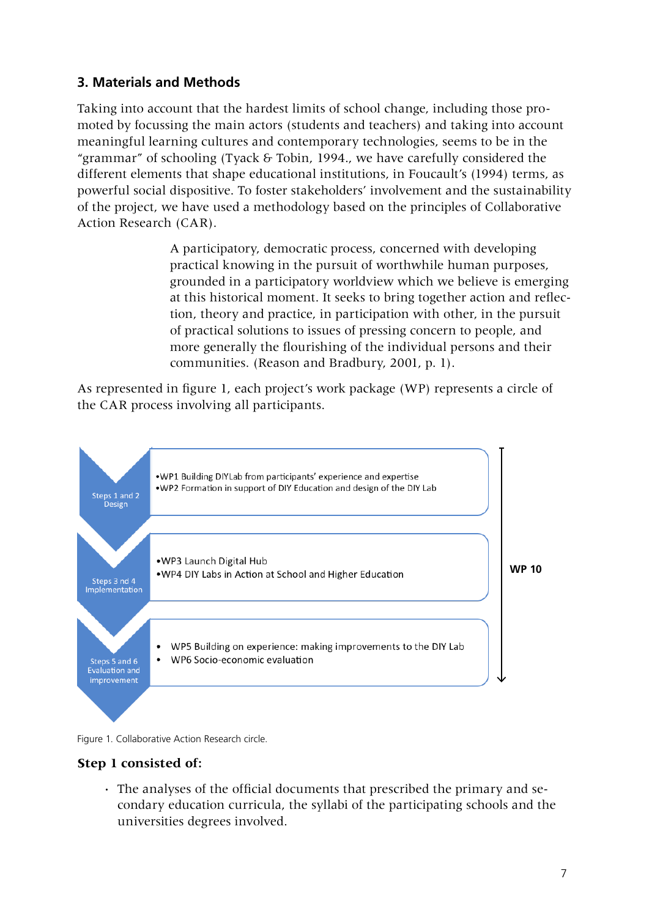# **3. Materials and Methods**

Taking into account that the hardest limits of school change, including those promoted by focussing the main actors (students and teachers) and taking into account meaningful learning cultures and contemporary technologies, seems to be in the "grammar" of schooling (Tyack & Tobin, 1994., we have carefully considered the different elements that shape educational institutions, in Foucault's (1994) terms, as powerful social dispositive. To foster stakeholders' involvement and the sustainability of the project, we have used a methodology based on the principles of Collaborative Action Research (CAR).

> A participatory, democratic process, concerned with developing practical knowing in the pursuit of worthwhile human purposes, grounded in a participatory worldview which we believe is emerging at this historical moment. It seeks to bring together action and reflection, theory and practice, in participation with other, in the pursuit of practical solutions to issues of pressing concern to people, and more generally the flourishing of the individual persons and their communities. (Reason and Bradbury, 2001, p. 1).

As represented in figure 1, each project's work package (WP) represents a circle of the CAR process involving all participants.



Figure 1. Collaborative Action Research circle.

### **Step 1 consisted of:**

**·** The analyses of the official documents that prescribed the primary and secondary education curricula, the syllabi of the participating schools and the universities degrees involved.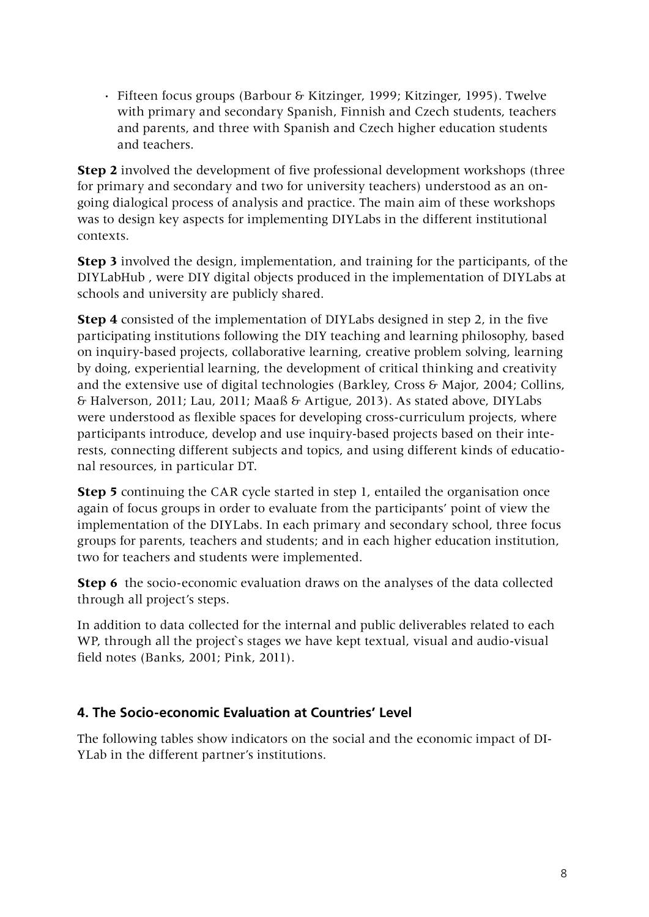**·** Fifteen focus groups (Barbour & Kitzinger, 1999; Kitzinger, 1995). Twelve with primary and secondary Spanish, Finnish and Czech students, teachers and parents, and three with Spanish and Czech higher education students and teachers.

**Step 2** involved the development of five professional development workshops (three for primary and secondary and two for university teachers) understood as an ongoing dialogical process of analysis and practice. The main aim of these workshops was to design key aspects for implementing DIYLabs in the different institutional contexts.

**Step 3** involved the design, implementation, and training for the participants, of the DIYLabHub , were DIY digital objects produced in the implementation of DIYLabs at schools and university are publicly shared.

**Step 4** consisted of the implementation of DIYLabs designed in step 2, in the five participating institutions following the DIY teaching and learning philosophy, based on inquiry-based projects, collaborative learning, creative problem solving, learning by doing, experiential learning, the development of critical thinking and creativity and the extensive use of digital technologies (Barkley, Cross & Major, 2004; Collins, & Halverson, 2011; Lau, 2011; Maaß & Artigue, 2013). As stated above, DIYLabs were understood as flexible spaces for developing cross-curriculum projects, where participants introduce, develop and use inquiry-based projects based on their interests, connecting different subjects and topics, and using different kinds of educational resources, in particular DT.

**Step 5** continuing the CAR cycle started in step 1, entailed the organisation once again of focus groups in order to evaluate from the participants' point of view the implementation of the DIYLabs. In each primary and secondary school, three focus groups for parents, teachers and students; and in each higher education institution, two for teachers and students were implemented.

**Step 6** the socio-economic evaluation draws on the analyses of the data collected through all project's steps.

In addition to data collected for the internal and public deliverables related to each WP, through all the project's stages we have kept textual, visual and audio-visual field notes (Banks, 2001; Pink, 2011).

# **4. The Socio-economic Evaluation at Countries' Level**

The following tables show indicators on the social and the economic impact of DI-YLab in the different partner's institutions.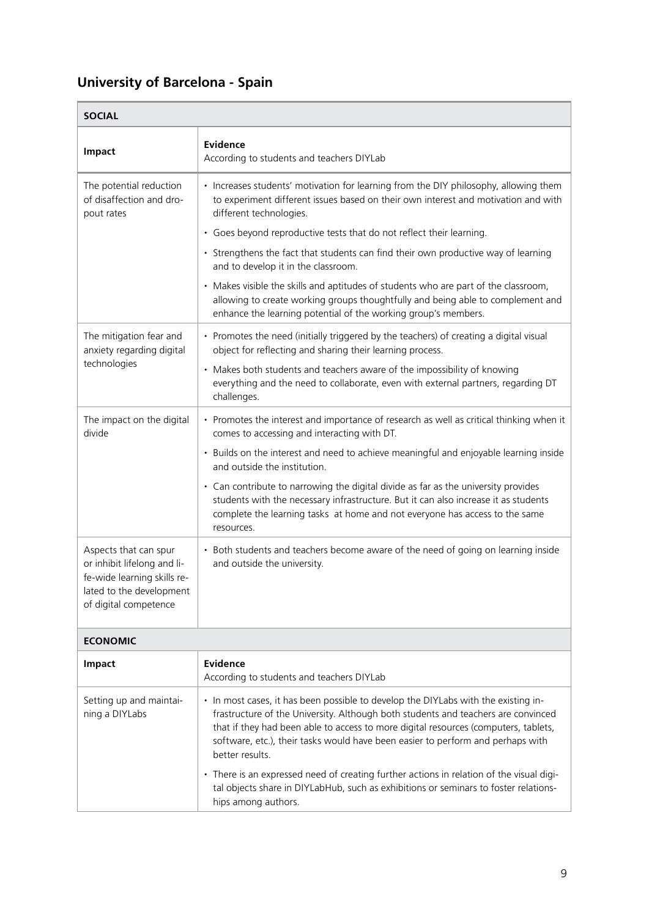# **University of Barcelona - Spain**

| <b>SOCIAL</b>                                                                                                                            |                                                                                                                                                                                                                                                                                                                                                                      |  |
|------------------------------------------------------------------------------------------------------------------------------------------|----------------------------------------------------------------------------------------------------------------------------------------------------------------------------------------------------------------------------------------------------------------------------------------------------------------------------------------------------------------------|--|
| Impact                                                                                                                                   | Evidence<br>According to students and teachers DIYLab                                                                                                                                                                                                                                                                                                                |  |
| The potential reduction<br>of disaffection and dro-<br>pout rates                                                                        | • Increases students' motivation for learning from the DIY philosophy, allowing them<br>to experiment different issues based on their own interest and motivation and with<br>different technologies.                                                                                                                                                                |  |
|                                                                                                                                          | • Goes beyond reproductive tests that do not reflect their learning.                                                                                                                                                                                                                                                                                                 |  |
|                                                                                                                                          | • Strengthens the fact that students can find their own productive way of learning<br>and to develop it in the classroom.                                                                                                                                                                                                                                            |  |
|                                                                                                                                          | • Makes visible the skills and aptitudes of students who are part of the classroom,<br>allowing to create working groups thoughtfully and being able to complement and<br>enhance the learning potential of the working group's members.                                                                                                                             |  |
| The mitigation fear and<br>anxiety regarding digital                                                                                     | • Promotes the need (initially triggered by the teachers) of creating a digital visual<br>object for reflecting and sharing their learning process.                                                                                                                                                                                                                  |  |
| technologies                                                                                                                             | • Makes both students and teachers aware of the impossibility of knowing<br>everything and the need to collaborate, even with external partners, regarding DT<br>challenges.                                                                                                                                                                                         |  |
| The impact on the digital<br>divide                                                                                                      | • Promotes the interest and importance of research as well as critical thinking when it<br>comes to accessing and interacting with DT.                                                                                                                                                                                                                               |  |
|                                                                                                                                          | • Builds on the interest and need to achieve meaningful and enjoyable learning inside<br>and outside the institution.                                                                                                                                                                                                                                                |  |
|                                                                                                                                          | • Can contribute to narrowing the digital divide as far as the university provides<br>students with the necessary infrastructure. But it can also increase it as students<br>complete the learning tasks at home and not everyone has access to the same<br>resources.                                                                                               |  |
| Aspects that can spur<br>or inhibit lifelong and li-<br>fe-wide learning skills re-<br>lated to the development<br>of digital competence | Both students and teachers become aware of the need of going on learning inside<br>and outside the university.                                                                                                                                                                                                                                                       |  |
| <b>ECONOMIC</b>                                                                                                                          |                                                                                                                                                                                                                                                                                                                                                                      |  |
| <b>Impact</b>                                                                                                                            | Evidence<br>According to students and teachers DIYLab                                                                                                                                                                                                                                                                                                                |  |
| Setting up and maintai-<br>ning a DIYLabs                                                                                                | • In most cases, it has been possible to develop the DIYLabs with the existing in-<br>frastructure of the University. Although both students and teachers are convinced<br>that if they had been able to access to more digital resources (computers, tablets,<br>software, etc.), their tasks would have been easier to perform and perhaps with<br>better results. |  |
|                                                                                                                                          | • There is an expressed need of creating further actions in relation of the visual digi-                                                                                                                                                                                                                                                                             |  |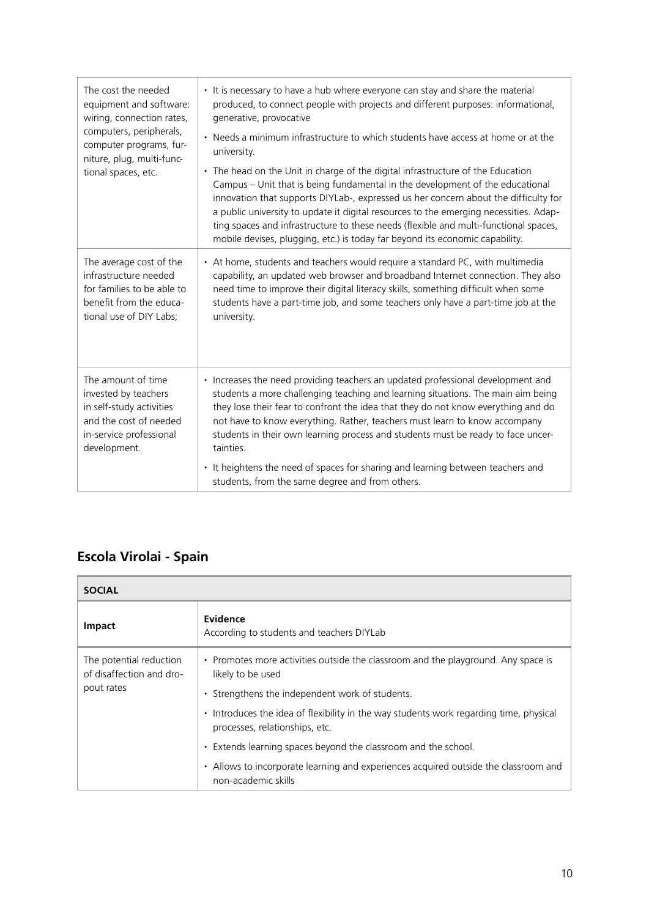| The cost the needed<br>equipment and software:<br>wiring, connection rates,<br>computers, peripherals,<br>computer programs, fur-<br>niture, plug, multi-func-<br>tional spaces, etc. | • It is necessary to have a hub where everyone can stay and share the material<br>produced, to connect people with projects and different purposes: informational,<br>generative, provocative<br>• Needs a minimum infrastructure to which students have access at home or at the<br>university.<br>• The head on the Unit in charge of the digital infrastructure of the Education<br>Campus - Unit that is being fundamental in the development of the educational<br>innovation that supports DIYLab-, expressed us her concern about the difficulty for<br>a public university to update it digital resources to the emerging necessities. Adap-<br>ting spaces and infrastructure to these needs (flexible and multi-functional spaces,<br>mobile devises, plugging, etc.) is today far beyond its economic capability. |
|---------------------------------------------------------------------------------------------------------------------------------------------------------------------------------------|------------------------------------------------------------------------------------------------------------------------------------------------------------------------------------------------------------------------------------------------------------------------------------------------------------------------------------------------------------------------------------------------------------------------------------------------------------------------------------------------------------------------------------------------------------------------------------------------------------------------------------------------------------------------------------------------------------------------------------------------------------------------------------------------------------------------------|
| The average cost of the<br>infrastructure needed<br>for families to be able to<br>benefit from the educa-<br>tional use of DIY Labs;                                                  | • At home, students and teachers would require a standard PC, with multimedia<br>capability, an updated web browser and broadband Internet connection. They also<br>need time to improve their digital literacy skills, something difficult when some<br>students have a part-time job, and some teachers only have a part-time job at the<br>university.                                                                                                                                                                                                                                                                                                                                                                                                                                                                    |
| The amount of time<br>invested by teachers<br>in self-study activities<br>and the cost of needed<br>in-service professional<br>development.                                           | • Increases the need providing teachers an updated professional development and<br>students a more challenging teaching and learning situations. The main aim being<br>they lose their fear to confront the idea that they do not know everything and do<br>not have to know everything. Rather, teachers must learn to know accompany<br>students in their own learning process and students must be ready to face uncer-<br>tainties.<br>• It heightens the need of spaces for sharing and learning between teachers and<br>students, from the same degree and from others.                                                                                                                                                                                                                                                |

# **Escola Virolai - Spain**

| <b>SOCIAL</b>                                       |                                                                                                                                     |  |
|-----------------------------------------------------|-------------------------------------------------------------------------------------------------------------------------------------|--|
| <b>Impact</b>                                       | Evidence<br>According to students and teachers DIYLab                                                                               |  |
| The potential reduction<br>of disaffection and dro- | • Promotes more activities outside the classroom and the playground. Any space is<br>likely to be used                              |  |
| pout rates                                          | • Strengthens the independent work of students.                                                                                     |  |
|                                                     | Introduces the idea of flexibility in the way students work regarding time, physical<br>$\bullet$<br>processes, relationships, etc. |  |
|                                                     | Extends learning spaces beyond the classroom and the school.<br>$\bullet$                                                           |  |
|                                                     | Allows to incorporate learning and experiences acquired outside the classroom and<br>$\bullet$<br>non-academic skills               |  |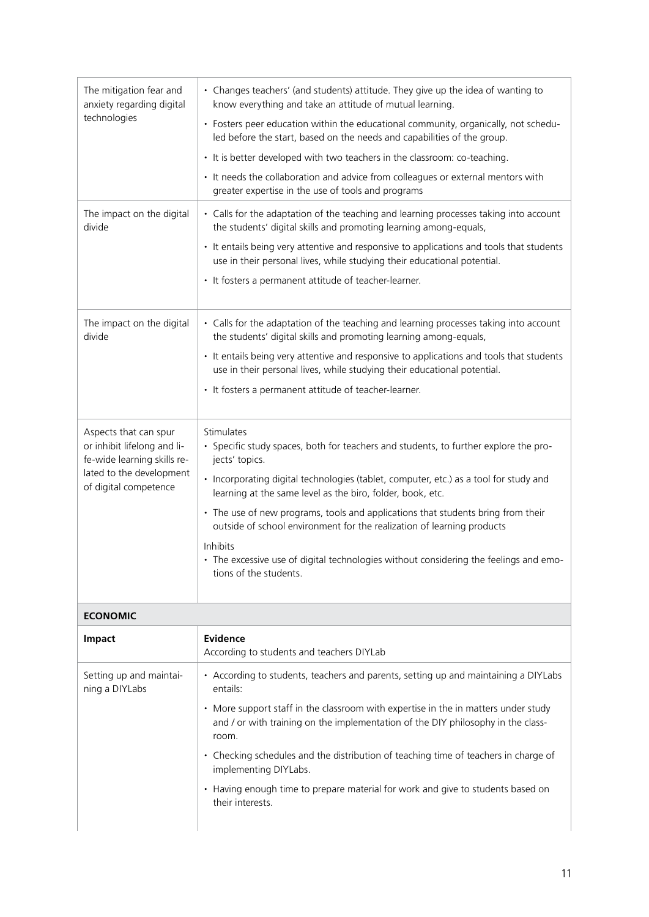| The mitigation fear and<br>anxiety regarding digital<br>technologies                                                                     | • Changes teachers' (and students) attitude. They give up the idea of wanting to<br>know everything and take an attitude of mutual learning.                                                                                                                                                                                                                                                                                                                                                                                                                             |
|------------------------------------------------------------------------------------------------------------------------------------------|--------------------------------------------------------------------------------------------------------------------------------------------------------------------------------------------------------------------------------------------------------------------------------------------------------------------------------------------------------------------------------------------------------------------------------------------------------------------------------------------------------------------------------------------------------------------------|
|                                                                                                                                          | • Fosters peer education within the educational community, organically, not schedu-<br>led before the start, based on the needs and capabilities of the group.                                                                                                                                                                                                                                                                                                                                                                                                           |
|                                                                                                                                          | • It is better developed with two teachers in the classroom: co-teaching.                                                                                                                                                                                                                                                                                                                                                                                                                                                                                                |
|                                                                                                                                          | • It needs the collaboration and advice from colleagues or external mentors with<br>greater expertise in the use of tools and programs                                                                                                                                                                                                                                                                                                                                                                                                                                   |
| The impact on the digital<br>divide                                                                                                      | • Calls for the adaptation of the teaching and learning processes taking into account<br>the students' digital skills and promoting learning among-equals,                                                                                                                                                                                                                                                                                                                                                                                                               |
|                                                                                                                                          | • It entails being very attentive and responsive to applications and tools that students<br>use in their personal lives, while studying their educational potential.                                                                                                                                                                                                                                                                                                                                                                                                     |
|                                                                                                                                          | • It fosters a permanent attitude of teacher-learner.                                                                                                                                                                                                                                                                                                                                                                                                                                                                                                                    |
| The impact on the digital<br>divide                                                                                                      | • Calls for the adaptation of the teaching and learning processes taking into account<br>the students' digital skills and promoting learning among-equals,                                                                                                                                                                                                                                                                                                                                                                                                               |
|                                                                                                                                          | • It entails being very attentive and responsive to applications and tools that students<br>use in their personal lives, while studying their educational potential.                                                                                                                                                                                                                                                                                                                                                                                                     |
|                                                                                                                                          | • It fosters a permanent attitude of teacher-learner.                                                                                                                                                                                                                                                                                                                                                                                                                                                                                                                    |
| Aspects that can spur<br>or inhibit lifelong and li-<br>fe-wide learning skills re-<br>lated to the development<br>of digital competence | Stimulates<br>· Specific study spaces, both for teachers and students, to further explore the pro-<br>jects' topics.<br>• Incorporating digital technologies (tablet, computer, etc.) as a tool for study and<br>learning at the same level as the biro, folder, book, etc.<br>• The use of new programs, tools and applications that students bring from their<br>outside of school environment for the realization of learning products<br>Inhibits<br>• The excessive use of digital technologies without considering the feelings and emo-<br>tions of the students. |
|                                                                                                                                          |                                                                                                                                                                                                                                                                                                                                                                                                                                                                                                                                                                          |
| <b>ECONOMIC</b>                                                                                                                          |                                                                                                                                                                                                                                                                                                                                                                                                                                                                                                                                                                          |
| Impact                                                                                                                                   | Evidence<br>According to students and teachers DIYLab                                                                                                                                                                                                                                                                                                                                                                                                                                                                                                                    |
| Setting up and maintai-<br>ning a DIYLabs                                                                                                | • According to students, teachers and parents, setting up and maintaining a DIYLabs<br>entails:                                                                                                                                                                                                                                                                                                                                                                                                                                                                          |
|                                                                                                                                          | • More support staff in the classroom with expertise in the in matters under study<br>and / or with training on the implementation of the DIY philosophy in the class-<br>room.                                                                                                                                                                                                                                                                                                                                                                                          |
|                                                                                                                                          | • Checking schedules and the distribution of teaching time of teachers in charge of<br>implementing DIYLabs.                                                                                                                                                                                                                                                                                                                                                                                                                                                             |
|                                                                                                                                          | • Having enough time to prepare material for work and give to students based on<br>their interests.                                                                                                                                                                                                                                                                                                                                                                                                                                                                      |
|                                                                                                                                          |                                                                                                                                                                                                                                                                                                                                                                                                                                                                                                                                                                          |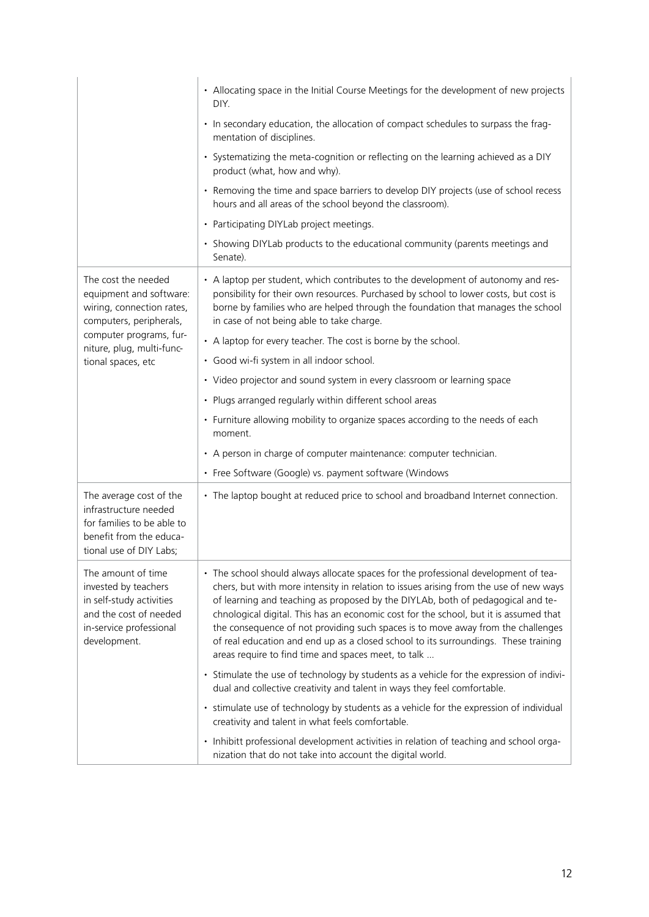|                                                                                                                                             | • Allocating space in the Initial Course Meetings for the development of new projects<br>DIY.                                                                                                                                                                                                                                                                                                                                                                                                                                                                                              |
|---------------------------------------------------------------------------------------------------------------------------------------------|--------------------------------------------------------------------------------------------------------------------------------------------------------------------------------------------------------------------------------------------------------------------------------------------------------------------------------------------------------------------------------------------------------------------------------------------------------------------------------------------------------------------------------------------------------------------------------------------|
|                                                                                                                                             | • In secondary education, the allocation of compact schedules to surpass the frag-<br>mentation of disciplines.                                                                                                                                                                                                                                                                                                                                                                                                                                                                            |
|                                                                                                                                             | · Systematizing the meta-cognition or reflecting on the learning achieved as a DIY<br>product (what, how and why).                                                                                                                                                                                                                                                                                                                                                                                                                                                                         |
|                                                                                                                                             | • Removing the time and space barriers to develop DIY projects (use of school recess<br>hours and all areas of the school beyond the classroom).                                                                                                                                                                                                                                                                                                                                                                                                                                           |
|                                                                                                                                             | • Participating DIYLab project meetings.                                                                                                                                                                                                                                                                                                                                                                                                                                                                                                                                                   |
|                                                                                                                                             | • Showing DIYLab products to the educational community (parents meetings and<br>Senate).                                                                                                                                                                                                                                                                                                                                                                                                                                                                                                   |
| The cost the needed<br>equipment and software:<br>wiring, connection rates,<br>computers, peripherals,                                      | • A laptop per student, which contributes to the development of autonomy and res-<br>ponsibility for their own resources. Purchased by school to lower costs, but cost is<br>borne by families who are helped through the foundation that manages the school<br>in case of not being able to take charge.                                                                                                                                                                                                                                                                                  |
| computer programs, fur-<br>niture, plug, multi-func-                                                                                        | • A laptop for every teacher. The cost is borne by the school.                                                                                                                                                                                                                                                                                                                                                                                                                                                                                                                             |
| tional spaces, etc                                                                                                                          | · Good wi-fi system in all indoor school.                                                                                                                                                                                                                                                                                                                                                                                                                                                                                                                                                  |
|                                                                                                                                             | • Video projector and sound system in every classroom or learning space                                                                                                                                                                                                                                                                                                                                                                                                                                                                                                                    |
|                                                                                                                                             | • Plugs arranged regularly within different school areas                                                                                                                                                                                                                                                                                                                                                                                                                                                                                                                                   |
|                                                                                                                                             | • Furniture allowing mobility to organize spaces according to the needs of each<br>moment.                                                                                                                                                                                                                                                                                                                                                                                                                                                                                                 |
|                                                                                                                                             | • A person in charge of computer maintenance: computer technician.                                                                                                                                                                                                                                                                                                                                                                                                                                                                                                                         |
|                                                                                                                                             | • Free Software (Google) vs. payment software (Windows                                                                                                                                                                                                                                                                                                                                                                                                                                                                                                                                     |
| The average cost of the<br>infrastructure needed<br>for families to be able to<br>benefit from the educa-<br>tional use of DIY Labs;        | • The laptop bought at reduced price to school and broadband Internet connection.                                                                                                                                                                                                                                                                                                                                                                                                                                                                                                          |
| The amount of time<br>invested by teachers<br>in self-study activities<br>and the cost of needed<br>in-service professional<br>development. | • The school should always allocate spaces for the professional development of tea-<br>chers, but with more intensity in relation to issues arising from the use of new ways<br>of learning and teaching as proposed by the DIYLAb, both of pedagogical and te-<br>chnological digital. This has an economic cost for the school, but it is assumed that<br>the consequence of not providing such spaces is to move away from the challenges<br>of real education and end up as a closed school to its surroundings. These training<br>areas require to find time and spaces meet, to talk |
|                                                                                                                                             | • Stimulate the use of technology by students as a vehicle for the expression of indivi-<br>dual and collective creativity and talent in ways they feel comfortable.                                                                                                                                                                                                                                                                                                                                                                                                                       |
|                                                                                                                                             | • stimulate use of technology by students as a vehicle for the expression of individual<br>creativity and talent in what feels comfortable.                                                                                                                                                                                                                                                                                                                                                                                                                                                |
|                                                                                                                                             | • Inhibitt professional development activities in relation of teaching and school orga-<br>nization that do not take into account the digital world.                                                                                                                                                                                                                                                                                                                                                                                                                                       |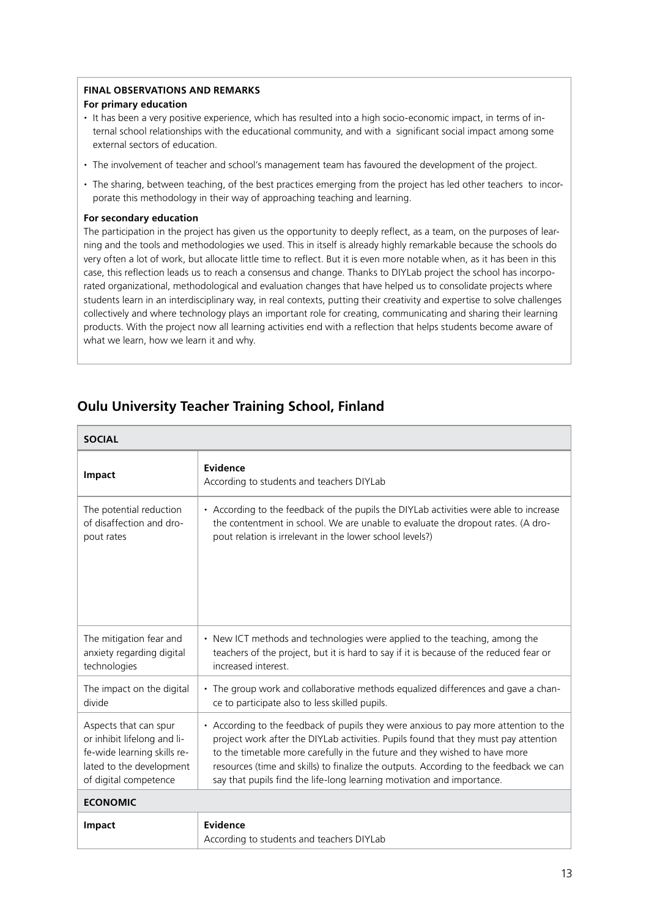#### **Final observations and remarks**

#### **For primary education**

- **·** It has been a very positive experience, which has resulted into a high socio-economic impact, in terms of internal school relationships with the educational community, and with a significant social impact among some external sectors of education.
- **·** The involvement of teacher and school's management team has favoured the development of the project.
- **·** The sharing, between teaching, of the best practices emerging from the project has led other teachers to incorporate this methodology in their way of approaching teaching and learning.

#### **For secondary education**

The participation in the project has given us the opportunity to deeply reflect, as a team, on the purposes of learning and the tools and methodologies we used. This in itself is already highly remarkable because the schools do very often a lot of work, but allocate little time to reflect. But it is even more notable when, as it has been in this case, this reflection leads us to reach a consensus and change. Thanks to DIYLab project the school has incorporated organizational, methodological and evaluation changes that have helped us to consolidate projects where students learn in an interdisciplinary way, in real contexts, putting their creativity and expertise to solve challenges collectively and where technology plays an important role for creating, communicating and sharing their learning products. With the project now all learning activities end with a reflection that helps students become aware of what we learn, how we learn it and why.

# **Oulu University Teacher Training School, Finland**

| <b>SOCIAL</b>               |                                                                                        |
|-----------------------------|----------------------------------------------------------------------------------------|
| Impact                      | Evidence<br>According to students and teachers DIYLab                                  |
| The potential reduction     | • According to the feedback of the pupils the DIYLab activities were able to increase  |
| of disaffection and dro-    | the contentment in school. We are unable to evaluate the dropout rates. (A dro-        |
| pout rates                  | pout relation is irrelevant in the lower school levels?)                               |
| The mitigation fear and     | • New ICT methods and technologies were applied to the teaching, among the             |
| anxiety regarding digital   | teachers of the project, but it is hard to say if it is because of the reduced fear or |
| technologies                | increased interest.                                                                    |
| The impact on the digital   | • The group work and collaborative methods equalized differences and gave a chan-      |
| divide                      | ce to participate also to less skilled pupils.                                         |
| Aspects that can spur       | • According to the feedback of pupils they were anxious to pay more attention to the   |
| or inhibit lifelong and li- | project work after the DIYLab activities. Pupils found that they must pay attention    |
| fe-wide learning skills re- | to the timetable more carefully in the future and they wished to have more             |
| lated to the development    | resources (time and skills) to finalize the outputs. According to the feedback we can  |
| of digital competence       | say that pupils find the life-long learning motivation and importance.                 |
| <b>ECONOMIC</b>             |                                                                                        |
| Impact                      | Evidence<br>According to students and teachers DIYLab                                  |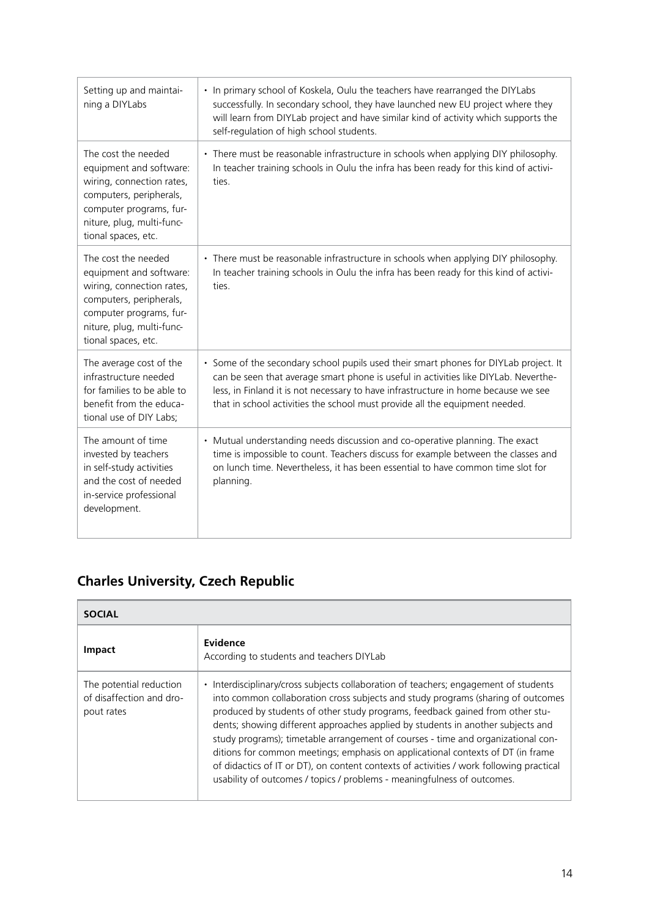| Setting up and maintai-<br>ning a DIYLabs                                                                                                                                             | • In primary school of Koskela, Oulu the teachers have rearranged the DIYLabs<br>successfully. In secondary school, they have launched new EU project where they<br>will learn from DIYLab project and have similar kind of activity which supports the<br>self-regulation of high school students.                                              |
|---------------------------------------------------------------------------------------------------------------------------------------------------------------------------------------|--------------------------------------------------------------------------------------------------------------------------------------------------------------------------------------------------------------------------------------------------------------------------------------------------------------------------------------------------|
| The cost the needed<br>equipment and software:<br>wiring, connection rates,<br>computers, peripherals,<br>computer programs, fur-<br>niture, plug, multi-func-<br>tional spaces, etc. | • There must be reasonable infrastructure in schools when applying DIY philosophy.<br>In teacher training schools in Oulu the infra has been ready for this kind of activi-<br>ties.                                                                                                                                                             |
| The cost the needed<br>equipment and software:<br>wiring, connection rates,<br>computers, peripherals,<br>computer programs, fur-<br>niture, plug, multi-func-<br>tional spaces, etc. | • There must be reasonable infrastructure in schools when applying DIY philosophy.<br>In teacher training schools in Oulu the infra has been ready for this kind of activi-<br>ties.                                                                                                                                                             |
| The average cost of the<br>infrastructure needed<br>for families to be able to<br>benefit from the educa-<br>tional use of DIY Labs;                                                  | • Some of the secondary school pupils used their smart phones for DIYLab project. It<br>can be seen that average smart phone is useful in activities like DIYLab. Neverthe-<br>less, in Finland it is not necessary to have infrastructure in home because we see<br>that in school activities the school must provide all the equipment needed. |
| The amount of time<br>invested by teachers<br>in self-study activities<br>and the cost of needed<br>in-service professional<br>development.                                           | • Mutual understanding needs discussion and co-operative planning. The exact<br>time is impossible to count. Teachers discuss for example between the classes and<br>on lunch time. Nevertheless, it has been essential to have common time slot for<br>planning.                                                                                |

# **Charles University, Czech Republic**

| <b>SOCIAL</b>                                                     |                                                                                                                                                                                                                                                                                                                                                                                                                                                                                                                                                                                                                                                                                                      |  |
|-------------------------------------------------------------------|------------------------------------------------------------------------------------------------------------------------------------------------------------------------------------------------------------------------------------------------------------------------------------------------------------------------------------------------------------------------------------------------------------------------------------------------------------------------------------------------------------------------------------------------------------------------------------------------------------------------------------------------------------------------------------------------------|--|
| <b>Impact</b>                                                     | Evidence<br>According to students and teachers DIYLab                                                                                                                                                                                                                                                                                                                                                                                                                                                                                                                                                                                                                                                |  |
| The potential reduction<br>of disaffection and dro-<br>pout rates | Interdisciplinary/cross subjects collaboration of teachers; engagement of students<br>$\bullet$<br>into common collaboration cross subjects and study programs (sharing of outcomes<br>produced by students of other study programs, feedback gained from other stu-<br>dents; showing different approaches applied by students in another subjects and<br>study programs); timetable arrangement of courses - time and organizational con-<br>ditions for common meetings; emphasis on applicational contexts of DT (in frame<br>of didactics of IT or DT), on content contexts of activities / work following practical<br>usability of outcomes / topics / problems - meaningfulness of outcomes. |  |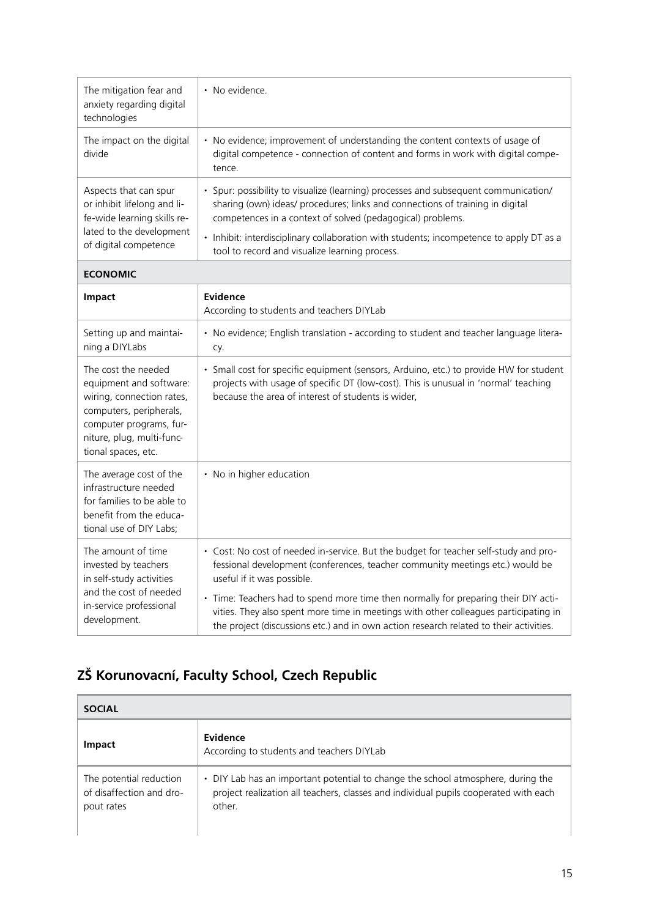| The mitigation fear and<br>anxiety regarding digital<br>technologies                                                                                                                  | • No evidence.                                                                                                                                                                                                                                                        |
|---------------------------------------------------------------------------------------------------------------------------------------------------------------------------------------|-----------------------------------------------------------------------------------------------------------------------------------------------------------------------------------------------------------------------------------------------------------------------|
| The impact on the digital<br>divide                                                                                                                                                   | • No evidence; improvement of understanding the content contexts of usage of<br>digital competence - connection of content and forms in work with digital compe-<br>tence.                                                                                            |
| Aspects that can spur<br>or inhibit lifelong and li-<br>fe-wide learning skills re-                                                                                                   | • Spur: possibility to visualize (learning) processes and subsequent communication/<br>sharing (own) ideas/ procedures; links and connections of training in digital<br>competences in a context of solved (pedagogical) problems.                                    |
| lated to the development<br>of digital competence                                                                                                                                     | • Inhibit: interdisciplinary collaboration with students; incompetence to apply DT as a<br>tool to record and visualize learning process.                                                                                                                             |
| <b>ECONOMIC</b>                                                                                                                                                                       |                                                                                                                                                                                                                                                                       |
| <b>Impact</b>                                                                                                                                                                         | <b>Evidence</b><br>According to students and teachers DIYLab                                                                                                                                                                                                          |
| Setting up and maintai-<br>ning a DIYLabs                                                                                                                                             | • No evidence; English translation - according to student and teacher language litera-<br>Cy.                                                                                                                                                                         |
| The cost the needed<br>equipment and software:<br>wiring, connection rates,<br>computers, peripherals,<br>computer programs, fur-<br>niture, plug, multi-func-<br>tional spaces, etc. | · Small cost for specific equipment (sensors, Arduino, etc.) to provide HW for student<br>projects with usage of specific DT (low-cost). This is unusual in 'normal' teaching<br>because the area of interest of students is wider,                                   |
| The average cost of the<br>infrastructure needed<br>for families to be able to<br>benefit from the educa-<br>tional use of DIY Labs;                                                  | • No in higher education                                                                                                                                                                                                                                              |
| The amount of time<br>invested by teachers<br>in self-study activities<br>and the cost of needed<br>in-service professional<br>development.                                           | • Cost: No cost of needed in-service. But the budget for teacher self-study and pro-<br>fessional development (conferences, teacher community meetings etc.) would be<br>useful if it was possible.                                                                   |
|                                                                                                                                                                                       | • Time: Teachers had to spend more time then normally for preparing their DIY acti-<br>vities. They also spent more time in meetings with other colleagues participating in<br>the project (discussions etc.) and in own action research related to their activities. |

# **ZŠ Korunovacní, Faculty School, Czech Republic**

| <b>SOCIAL</b>                                                     |                                                                                                                                                                                    |  |
|-------------------------------------------------------------------|------------------------------------------------------------------------------------------------------------------------------------------------------------------------------------|--|
| <b>Impact</b>                                                     | Evidence<br>According to students and teachers DIYLab                                                                                                                              |  |
| The potential reduction<br>of disaffection and dro-<br>pout rates | • DIY Lab has an important potential to change the school atmosphere, during the<br>project realization all teachers, classes and individual pupils cooperated with each<br>other. |  |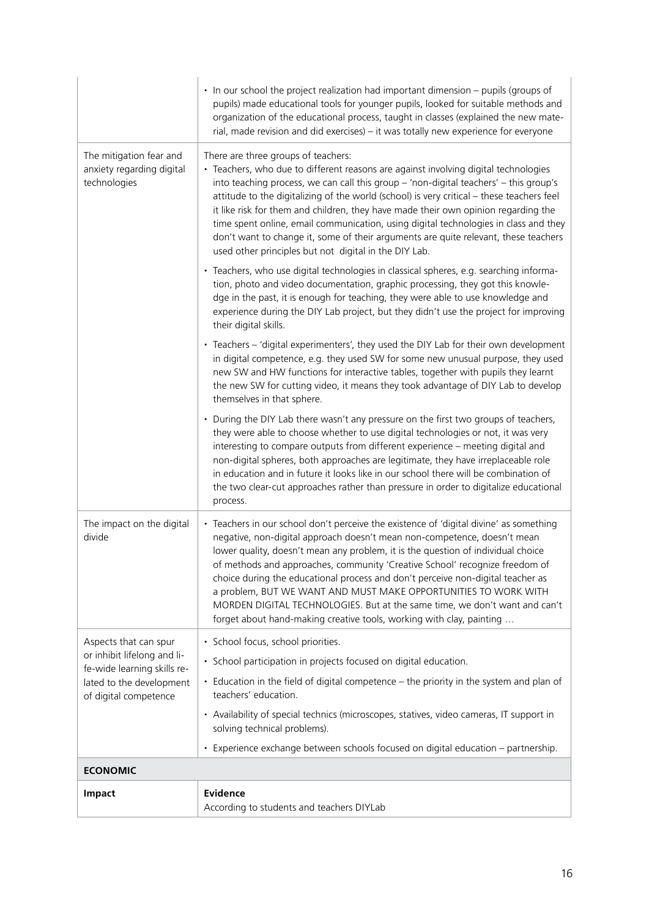|                                                                                                                                          | • In our school the project realization had important dimension - pupils (groups of<br>pupils) made educational tools for younger pupils, looked for suitable methods and<br>organization of the educational process, taught in classes (explained the new mate-<br>rial, made revision and did exercises) - it was totally new experience for everyone                                                                                                                                                                                                                                                                                           |
|------------------------------------------------------------------------------------------------------------------------------------------|---------------------------------------------------------------------------------------------------------------------------------------------------------------------------------------------------------------------------------------------------------------------------------------------------------------------------------------------------------------------------------------------------------------------------------------------------------------------------------------------------------------------------------------------------------------------------------------------------------------------------------------------------|
| The mitigation fear and<br>anxiety regarding digital<br>technologies                                                                     | There are three groups of teachers:<br>• Teachers, who due to different reasons are against involving digital technologies<br>into teaching process, we can call this group - 'non-digital teachers' - this group's<br>attitude to the digitalizing of the world (school) is very critical - these teachers feel<br>it like risk for them and children, they have made their own opinion regarding the<br>time spent online, email communication, using digital technologies in class and they<br>don't want to change it, some of their arguments are quite relevant, these teachers<br>used other principles but not digital in the DIY Lab.    |
|                                                                                                                                          | • Teachers, who use digital technologies in classical spheres, e.g. searching informa-<br>tion, photo and video documentation, graphic processing, they got this knowle-<br>dge in the past, it is enough for teaching, they were able to use knowledge and<br>experience during the DIY Lab project, but they didn't use the project for improving<br>their digital skills.                                                                                                                                                                                                                                                                      |
|                                                                                                                                          | • Teachers - 'digital experimenters', they used the DIY Lab for their own development<br>in digital competence, e.g. they used SW for some new unusual purpose, they used<br>new SW and HW functions for interactive tables, together with pupils they learnt<br>the new SW for cutting video, it means they took advantage of DIY Lab to develop<br>themselves in that sphere.                                                                                                                                                                                                                                                                   |
|                                                                                                                                          | • During the DIY Lab there wasn't any pressure on the first two groups of teachers,<br>they were able to choose whether to use digital technologies or not, it was very<br>interesting to compare outputs from different experience - meeting digital and<br>non-digital spheres, both approaches are legitimate, they have irreplaceable role<br>in education and in future it looks like in our school there will be combination of<br>the two clear-cut approaches rather than pressure in order to digitalize educational<br>process.                                                                                                         |
| The impact on the digital<br>divide                                                                                                      | • Teachers in our school don't perceive the existence of 'digital divine' as something<br>negative, non-digital approach doesn't mean non-competence, doesn't mean<br>lower quality, doesn't mean any problem, it is the question of individual choice<br>of methods and approaches, community 'Creative School' recognize freedom of<br>choice during the educational process and don't perceive non-digital teacher as<br>a problem, BUT WE WANT AND MUST MAKE OPPORTUNITIES TO WORK WITH<br>MORDEN DIGITAL TECHNOLOGIES. But at the same time, we don't want and can't<br>forget about hand-making creative tools, working with clay, painting |
| Aspects that can spur<br>or inhibit lifelong and li-<br>fe-wide learning skills re-<br>lated to the development<br>of digital competence | · School focus, school priorities.                                                                                                                                                                                                                                                                                                                                                                                                                                                                                                                                                                                                                |
|                                                                                                                                          | · School participation in projects focused on digital education.                                                                                                                                                                                                                                                                                                                                                                                                                                                                                                                                                                                  |
|                                                                                                                                          | • Education in the field of digital competence - the priority in the system and plan of<br>teachers' education.                                                                                                                                                                                                                                                                                                                                                                                                                                                                                                                                   |
|                                                                                                                                          | • Availability of special technics (microscopes, statives, video cameras, IT support in<br>solving technical problems).                                                                                                                                                                                                                                                                                                                                                                                                                                                                                                                           |
|                                                                                                                                          | · Experience exchange between schools focused on digital education - partnership.                                                                                                                                                                                                                                                                                                                                                                                                                                                                                                                                                                 |
| <b>ECONOMIC</b>                                                                                                                          |                                                                                                                                                                                                                                                                                                                                                                                                                                                                                                                                                                                                                                                   |
| Impact                                                                                                                                   | <b>Evidence</b>                                                                                                                                                                                                                                                                                                                                                                                                                                                                                                                                                                                                                                   |
|                                                                                                                                          | According to students and teachers DIYLab                                                                                                                                                                                                                                                                                                                                                                                                                                                                                                                                                                                                         |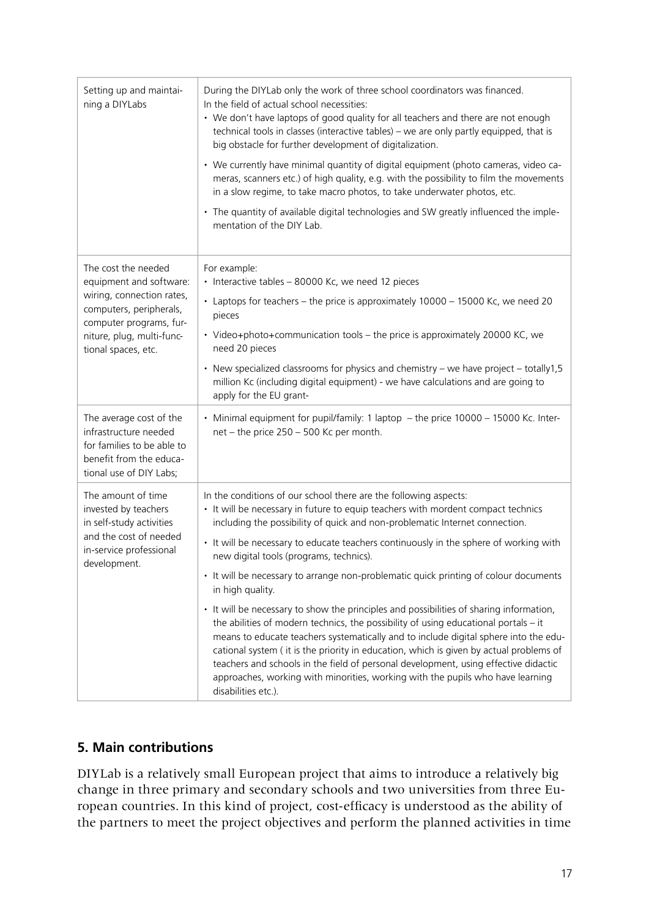| Setting up and maintai-<br>ning a DIYLabs                                                                                                                                             | During the DIYLab only the work of three school coordinators was financed.<br>In the field of actual school necessities:<br>• We don't have laptops of good quality for all teachers and there are not enough<br>technical tools in classes (interactive tables) - we are only partly equipped, that is<br>big obstacle for further development of digitalization.<br>• We currently have minimal quantity of digital equipment (photo cameras, video ca-<br>meras, scanners etc.) of high quality, e.g. with the possibility to film the movements<br>in a slow regime, to take macro photos, to take underwater photos, etc.<br>• The quantity of available digital technologies and SW greatly influenced the imple-<br>mentation of the DIY Lab.                                                                                                                                                                                                                                                                                                    |
|---------------------------------------------------------------------------------------------------------------------------------------------------------------------------------------|---------------------------------------------------------------------------------------------------------------------------------------------------------------------------------------------------------------------------------------------------------------------------------------------------------------------------------------------------------------------------------------------------------------------------------------------------------------------------------------------------------------------------------------------------------------------------------------------------------------------------------------------------------------------------------------------------------------------------------------------------------------------------------------------------------------------------------------------------------------------------------------------------------------------------------------------------------------------------------------------------------------------------------------------------------|
| The cost the needed<br>equipment and software:<br>wiring, connection rates,<br>computers, peripherals,<br>computer programs, fur-<br>niture, plug, multi-func-<br>tional spaces, etc. | For example:<br>· Interactive tables - 80000 Kc, we need 12 pieces<br>• Laptops for teachers - the price is approximately 10000 - 15000 Kc, we need 20<br>pieces<br>• Video+photo+communication tools - the price is approximately 20000 KC, we<br>need 20 pieces<br>• New specialized classrooms for physics and chemistry - we have project - totally1,5<br>million Kc (including digital equipment) - we have calculations and are going to<br>apply for the EU grant-                                                                                                                                                                                                                                                                                                                                                                                                                                                                                                                                                                               |
| The average cost of the<br>infrastructure needed<br>for families to be able to<br>benefit from the educa-<br>tional use of DIY Labs;                                                  | • Minimal equipment for pupil/family: 1 laptop - the price 10000 - 15000 Kc. Inter-<br>net - the price 250 - 500 Kc per month.                                                                                                                                                                                                                                                                                                                                                                                                                                                                                                                                                                                                                                                                                                                                                                                                                                                                                                                          |
| The amount of time<br>invested by teachers<br>in self-study activities<br>and the cost of needed<br>in-service professional<br>development.                                           | In the conditions of our school there are the following aspects:<br>• It will be necessary in future to equip teachers with mordent compact technics<br>including the possibility of quick and non-problematic Internet connection.<br>• It will be necessary to educate teachers continuously in the sphere of working with<br>new digital tools (programs, technics).<br>• It will be necessary to arrange non-problematic quick printing of colour documents<br>in high quality.<br>• It will be necessary to show the principles and possibilities of sharing information,<br>the abilities of modern technics, the possibility of using educational portals - it<br>means to educate teachers systematically and to include digital sphere into the edu-<br>cational system (it is the priority in education, which is given by actual problems of<br>teachers and schools in the field of personal development, using effective didactic<br>approaches, working with minorities, working with the pupils who have learning<br>disabilities etc.). |

# **5. Main contributions**

DIYLab is a relatively small European project that aims to introduce a relatively big change in three primary and secondary schools and two universities from three European countries. In this kind of project, cost-efficacy is understood as the ability of the partners to meet the project objectives and perform the planned activities in time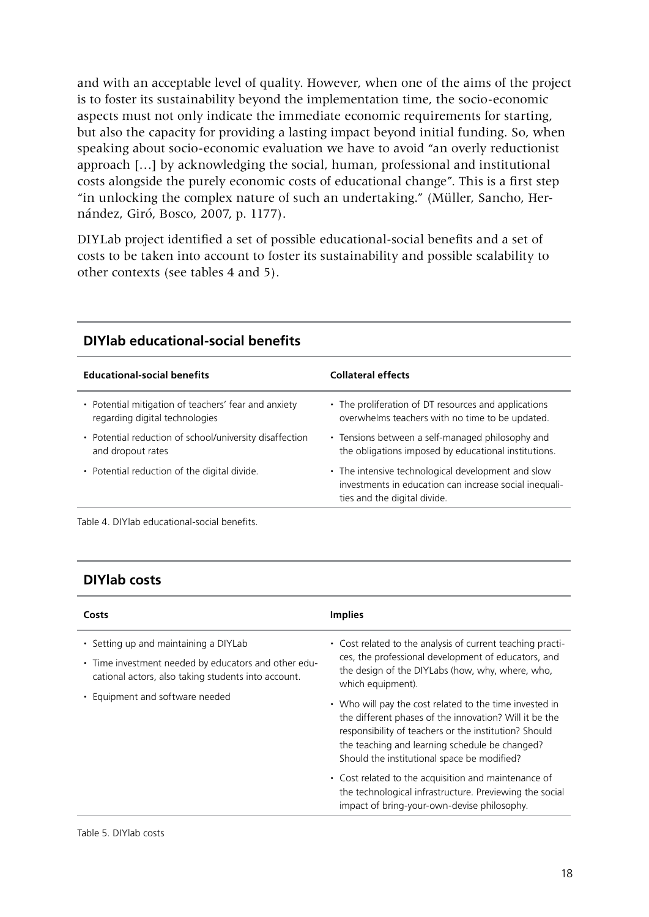and with an acceptable level of quality. However, when one of the aims of the project is to foster its sustainability beyond the implementation time, the socio-economic aspects must not only indicate the immediate economic requirements for starting, but also the capacity for providing a lasting impact beyond initial funding. So, when speaking about socio-economic evaluation we have to avoid "an overly reductionist approach […] by acknowledging the social, human, professional and institutional costs alongside the purely economic costs of educational change". This is a first step "in unlocking the complex nature of such an undertaking." (Müller, Sancho, Hernández, Giró, Bosco, 2007, p. 1177).

DIYLab project identified a set of possible educational-social benefits and a set of costs to be taken into account to foster its sustainability and possible scalability to other contexts (see tables 4 and 5).

| <b>Educational-social benefits</b>                      | <b>Collateral effects</b>                                                                                                                    |
|---------------------------------------------------------|----------------------------------------------------------------------------------------------------------------------------------------------|
| • Potential mitigation of teachers' fear and anxiety    | • The proliferation of DT resources and applications                                                                                         |
| regarding digital technologies                          | overwhelms teachers with no time to be updated.                                                                                              |
| • Potential reduction of school/university disaffection | • Tensions between a self-managed philosophy and                                                                                             |
| and dropout rates                                       | the obligations imposed by educational institutions.                                                                                         |
| • Potential reduction of the digital divide.            | • The intensive technological development and slow<br>investments in education can increase social inequali-<br>ties and the digital divide. |

# **DIYlab educational-social benefits**

Table 4. DIYlab educational-social benefits.

### **DIYlab costs**

| Costs                                                                                                                                                | <b>Implies</b>                                                                                                                                                                                                                                                              |
|------------------------------------------------------------------------------------------------------------------------------------------------------|-----------------------------------------------------------------------------------------------------------------------------------------------------------------------------------------------------------------------------------------------------------------------------|
| • Setting up and maintaining a DIYLab<br>• Time investment needed by educators and other edu-<br>cational actors, also taking students into account. | • Cost related to the analysis of current teaching practi-<br>ces, the professional development of educators, and<br>the design of the DIYLabs (how, why, where, who,<br>which equipment).                                                                                  |
| • Equipment and software needed                                                                                                                      | • Who will pay the cost related to the time invested in<br>the different phases of the innovation? Will it be the<br>responsibility of teachers or the institution? Should<br>the teaching and learning schedule be changed?<br>Should the institutional space be modified? |
|                                                                                                                                                      | • Cost related to the acquisition and maintenance of<br>the technological infrastructure. Previewing the social<br>impact of bring-your-own-devise philosophy.                                                                                                              |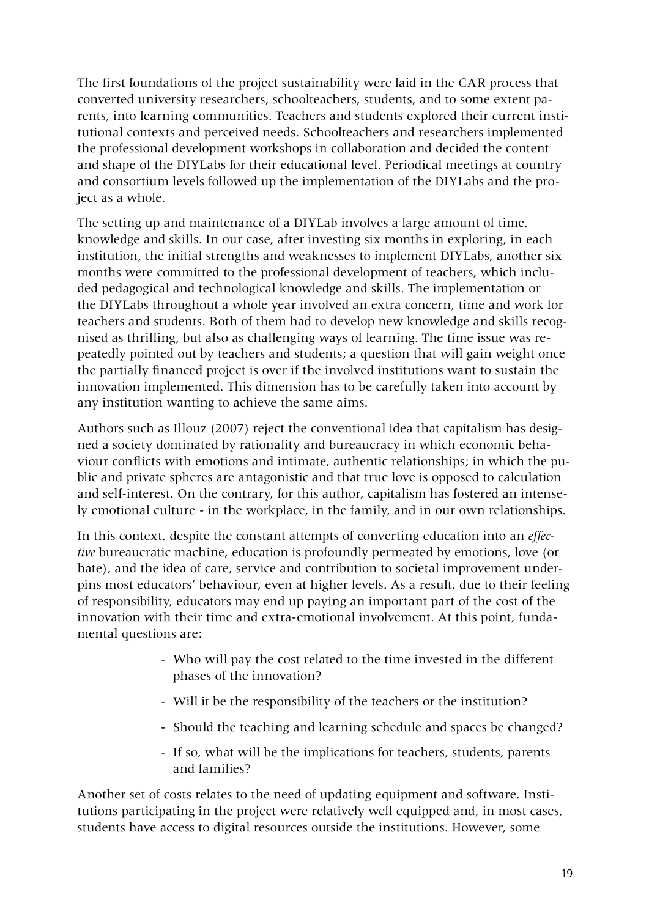The first foundations of the project sustainability were laid in the CAR process that converted university researchers, schoolteachers, students, and to some extent parents, into learning communities. Teachers and students explored their current institutional contexts and perceived needs. Schoolteachers and researchers implemented the professional development workshops in collaboration and decided the content and shape of the DIYLabs for their educational level. Periodical meetings at country and consortium levels followed up the implementation of the DIYLabs and the project as a whole.

The setting up and maintenance of a DIYLab involves a large amount of time, knowledge and skills. In our case, after investing six months in exploring, in each institution, the initial strengths and weaknesses to implement DIYLabs, another six months were committed to the professional development of teachers, which included pedagogical and technological knowledge and skills. The implementation or the DIYLabs throughout a whole year involved an extra concern, time and work for teachers and students. Both of them had to develop new knowledge and skills recognised as thrilling, but also as challenging ways of learning. The time issue was repeatedly pointed out by teachers and students; a question that will gain weight once the partially financed project is over if the involved institutions want to sustain the innovation implemented. This dimension has to be carefully taken into account by any institution wanting to achieve the same aims.

Authors such as Illouz (2007) reject the conventional idea that capitalism has designed a society dominated by rationality and bureaucracy in which economic behaviour conflicts with emotions and intimate, authentic relationships; in which the public and private spheres are antagonistic and that true love is opposed to calculation and self-interest. On the contrary, for this author, capitalism has fostered an intensely emotional culture - in the workplace, in the family, and in our own relationships.

In this context, despite the constant attempts of converting education into an *effective* bureaucratic machine, education is profoundly permeated by emotions, love (or hate), and the idea of care, service and contribution to societal improvement underpins most educators' behaviour, even at higher levels. As a result, due to their feeling of responsibility, educators may end up paying an important part of the cost of the innovation with their time and extra-emotional involvement. At this point, fundamental questions are:

- Who will pay the cost related to the time invested in the different phases of the innovation?
- Will it be the responsibility of the teachers or the institution?
- Should the teaching and learning schedule and spaces be changed?
- If so, what will be the implications for teachers, students, parents and families?

Another set of costs relates to the need of updating equipment and software. Institutions participating in the project were relatively well equipped and, in most cases, students have access to digital resources outside the institutions. However, some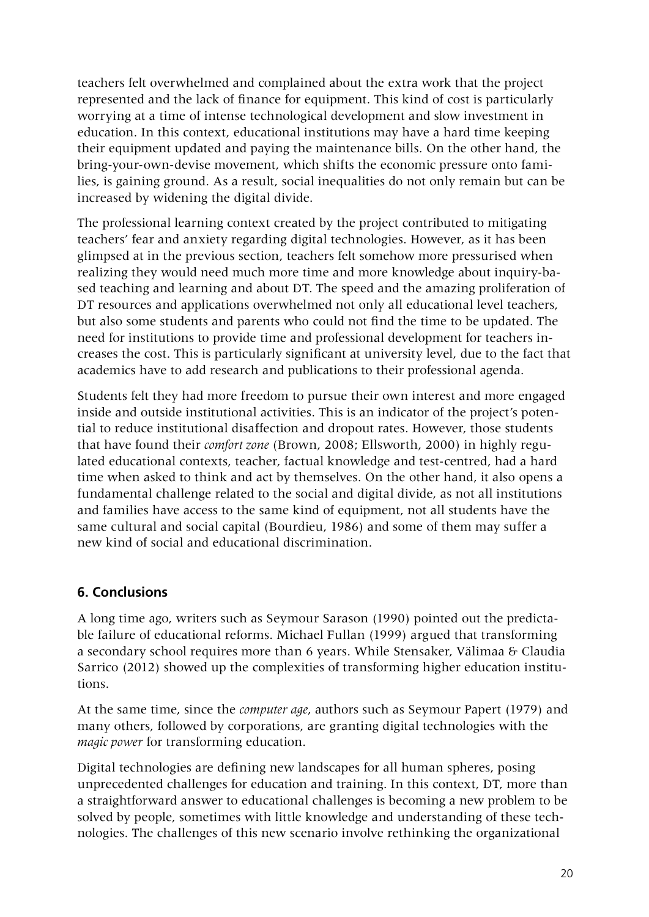teachers felt overwhelmed and complained about the extra work that the project represented and the lack of finance for equipment. This kind of cost is particularly worrying at a time of intense technological development and slow investment in education. In this context, educational institutions may have a hard time keeping their equipment updated and paying the maintenance bills. On the other hand, the bring-your-own-devise movement, which shifts the economic pressure onto families, is gaining ground. As a result, social inequalities do not only remain but can be increased by widening the digital divide.

The professional learning context created by the project contributed to mitigating teachers' fear and anxiety regarding digital technologies. However, as it has been glimpsed at in the previous section, teachers felt somehow more pressurised when realizing they would need much more time and more knowledge about inquiry-based teaching and learning and about DT. The speed and the amazing proliferation of DT resources and applications overwhelmed not only all educational level teachers, but also some students and parents who could not find the time to be updated. The need for institutions to provide time and professional development for teachers increases the cost. This is particularly significant at university level, due to the fact that academics have to add research and publications to their professional agenda.

Students felt they had more freedom to pursue their own interest and more engaged inside and outside institutional activities. This is an indicator of the project's potential to reduce institutional disaffection and dropout rates. However, those students that have found their *comfort zone* (Brown, 2008; Ellsworth, 2000) in highly regulated educational contexts, teacher, factual knowledge and test-centred, had a hard time when asked to think and act by themselves. On the other hand, it also opens a fundamental challenge related to the social and digital divide, as not all institutions and families have access to the same kind of equipment, not all students have the same cultural and social capital (Bourdieu, 1986) and some of them may suffer a new kind of social and educational discrimination.

# **6. Conclusions**

A long time ago, writers such as Seymour Sarason (1990) pointed out the predictable failure of educational reforms. Michael Fullan (1999) argued that transforming a secondary school requires more than 6 years. While Stensaker, Välimaa & Claudia Sarrico (2012) showed up the complexities of transforming higher education institutions.

At the same time, since the *computer age*, authors such as Seymour Papert (1979) and many others, followed by corporations, are granting digital technologies with the *magic power* for transforming education.

Digital technologies are defining new landscapes for all human spheres, posing unprecedented challenges for education and training. In this context, DT, more than a straightforward answer to educational challenges is becoming a new problem to be solved by people, sometimes with little knowledge and understanding of these technologies. The challenges of this new scenario involve rethinking the organizational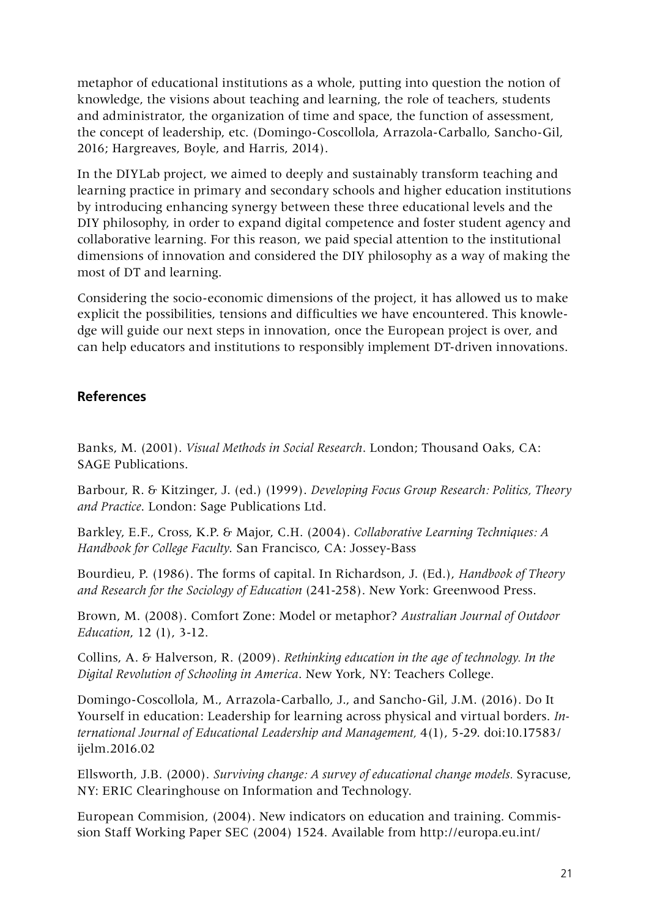metaphor of educational institutions as a whole, putting into question the notion of knowledge, the visions about teaching and learning, the role of teachers, students and administrator, the organization of time and space, the function of assessment, the concept of leadership, etc. (Domingo-Coscollola, Arrazola-Carballo, Sancho-Gil, 2016; Hargreaves, Boyle, and Harris, 2014).

In the DIYLab project, we aimed to deeply and sustainably transform teaching and learning practice in primary and secondary schools and higher education institutions by introducing enhancing synergy between these three educational levels and the DIY philosophy, in order to expand digital competence and foster student agency and collaborative learning. For this reason, we paid special attention to the institutional dimensions of innovation and considered the DIY philosophy as a way of making the most of DT and learning.

Considering the socio-economic dimensions of the project, it has allowed us to make explicit the possibilities, tensions and difficulties we have encountered. This knowledge will guide our next steps in innovation, once the European project is over, and can help educators and institutions to responsibly implement DT-driven innovations.

# **References**

Banks, M. (2001). *Visual Methods in Social Research*. London; Thousand Oaks, CA: SAGE Publications.

Barbour, R. & Kitzinger, J. (ed.) (1999). *Developing Focus Group Research: Politics, Theory and Practice*. London: Sage Publications Ltd.

Barkley, E.F., Cross, K.P. & Major, C.H. (2004). *Collaborative Learning Techniques: A Handbook for College Faculty*. San Francisco, CA: Jossey-Bass

Bourdieu, P. (1986). The forms of capital. In Richardson, J. (Ed.), *Handbook of Theory and Research for the Sociology of Education* (241-258). New York: Greenwood Press.

Brown, M. (2008). Comfort Zone: Model or metaphor? *Australian Journal of Outdoor Education*, 12 (1), 3-12.

Collins, A. & Halverson, R. (2009). *Rethinking education in the age of technology. In the Digital Revolution of Schooling in America*. New York, NY: Teachers College.

Domingo-Coscollola, M., Arrazola-Carballo, J., and Sancho-Gil, J.M. (2016). Do It Yourself in education: Leadership for learning across physical and virtual borders. *International Journal of Educational Leadership and Management,* 4(1), 5-29. doi:10.17583/ ijelm.2016.02

Ellsworth, J.B. (2000). *Surviving change: A survey of educational change models.* Syracuse, NY: ERIC Clearinghouse on Information and Technology.

European Commision, (2004). New indicators on education and training. Commission Staff Working Paper SEC (2004) 1524. Available from http://europa.eu.int/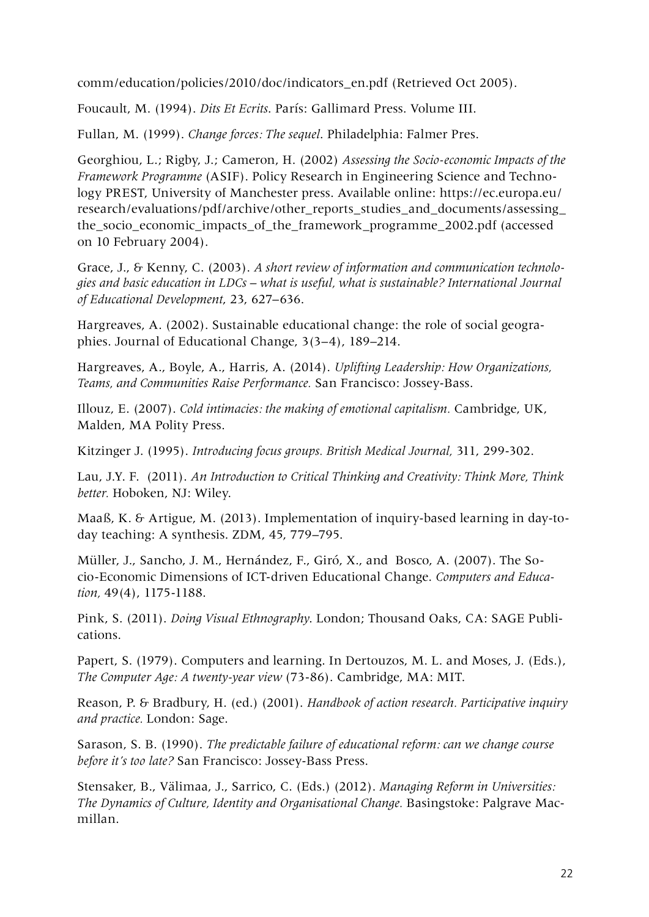comm/education/policies/2010/doc/indicators\_en.pdf (Retrieved Oct 2005).

Foucault, M. (1994). *Dits Et Ecrits*. París: Gallimard Press. Volume III.

Fullan, M. (1999). *Change forces: The sequel*. Philadelphia: Falmer Pres.

Georghiou, L.; Rigby, J.; Cameron, H. (2002) *Assessing the Socio-economic Impacts of the Framework Programme* (ASIF). Policy Research in Engineering Science and Technology PREST, University of Manchester press. Available online: https://ec.europa.eu/ research/evaluations/pdf/archive/other\_reports\_studies\_and\_documents/assessing the\_socio\_economic\_impacts\_of\_the\_framework\_programme\_2002.pdf (accessed on 10 February 2004).

Grace, J., & Kenny, C. (2003). *A short review of information and communication technologies and basic education in LDCs – what is useful, what is sustainable? International Journal of Educational Development*, 23, 627–636.

Hargreaves, A. (2002). Sustainable educational change: the role of social geographies. Journal of Educational Change, 3(3–4), 189–214.

Hargreaves, A., Boyle, A., Harris, A. (2014). *Uplifting Leadership: How Organizations, Teams, and Communities Raise Performance.* San Francisco: Jossey-Bass.

Illouz, E. (2007). *Cold intimacies: the making of emotional capitalism.* Cambridge, UK, Malden, MA Polity Press.

Kitzinger J. (1995). *Introducing focus groups. British Medical Journal,* 311, 299-302.

Lau, J.Y. F. (2011). *An Introduction to Critical Thinking and Creativity: Think More, Think better.* Hoboken, NJ: Wiley.

Maaß, K. & Artigue, M. (2013). Implementation of inquiry-based learning in day-today teaching: A synthesis. ZDM, 45, 779–795.

Müller, J., Sancho, J. M., Hernández, F., Giró, X., and Bosco, A. (2007). The Socio-Economic Dimensions of ICT-driven Educational Change. *Computers and Education,* 49(4), 1175-1188.

Pink, S. (2011). *Doing Visual Ethnography*. London; Thousand Oaks, CA: SAGE Publications.

Papert, S. (1979). Computers and learning. In Dertouzos, M. L. and Moses, J. (Eds.), *The Computer Age: A twenty-year view* (73-86). Cambridge, MA: MIT.

Reason, P. & Bradbury, H. (ed.) (2001). *Handbook of action research. Participative inquiry and practice.* London: Sage.

Sarason, S. B. (1990). *The predictable failure of educational reform: can we change course before it's too late?* San Francisco: Jossey-Bass Press.

Stensaker, B., Välimaa, J., Sarrico, C. (Eds.) (2012). *Managing Reform in Universities: The Dynamics of Culture, Identity and Organisational Change.* Basingstoke: Palgrave Macmillan.